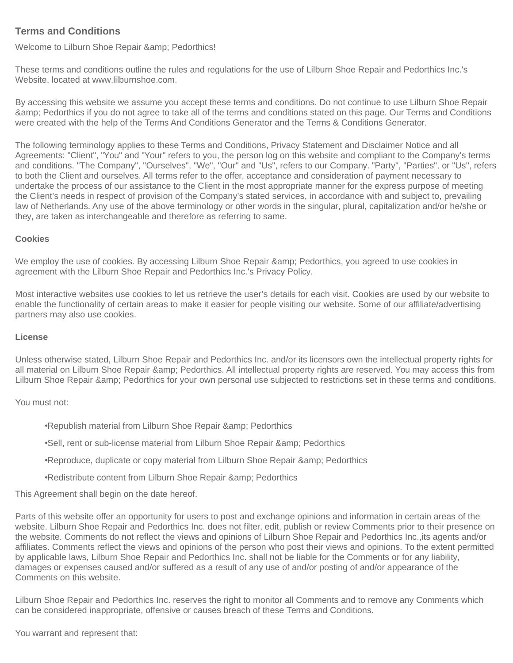# **Terms and Conditions**

Welcome to Lilburn Shoe Repair & amp; Pedorthics!

These terms and conditions outline the rules and regulations for the use of Lilburn Shoe Repair and Pedorthics Inc.'s Website, located at www.lilburnshoe.com.

By accessing this website we assume you accept these terms and conditions. Do not continue to use Lilburn Shoe Repair & Pedorthics if you do not agree to take all of the terms and conditions stated on this page. Our Terms and Conditions were created with the help of the [Terms And Conditions Generator](https://www.termsandconditionsgenerator.com/) and the [Terms & Conditions Generator.](https://www.termsconditionsgenerator.com/)

The following terminology applies to these Terms and Conditions, Privacy Statement and Disclaimer Notice and all Agreements: "Client", "You" and "Your" refers to you, the person log on this website and compliant to the Company's terms and conditions. "The Company", "Ourselves", "We", "Our" and "Us", refers to our Company. "Party", "Parties", or "Us", refers to both the Client and ourselves. All terms refer to the offer, acceptance and consideration of payment necessary to undertake the process of our assistance to the Client in the most appropriate manner for the express purpose of meeting the Client's needs in respect of provision of the Company's stated services, in accordance with and subject to, prevailing law of Netherlands. Any use of the above terminology or other words in the singular, plural, capitalization and/or he/she or they, are taken as interchangeable and therefore as referring to same.

## **Cookies**

We employ the use of cookies. By accessing Lilburn Shoe Repair & amp; Pedorthics, you agreed to use cookies in agreement with the Lilburn Shoe Repair and Pedorthics Inc.'s Privacy Policy.

Most interactive websites use cookies to let us retrieve the user's details for each visit. Cookies are used by our website to enable the functionality of certain areas to make it easier for people visiting our website. Some of our affiliate/advertising partners may also use cookies.

#### **License**

Unless otherwise stated, Lilburn Shoe Repair and Pedorthics Inc. and/or its licensors own the intellectual property rights for all material on Lilburn Shoe Repair & amp; Pedorthics. All intellectual property rights are reserved. You may access this from Lilburn Shoe Repair & amp; Pedorthics for your own personal use subjected to restrictions set in these terms and conditions.

# You must not:

•Republish material from Lilburn Shoe Repair & amp: Pedorthics

•Sell, rent or sub-license material from Lilburn Shoe Repair & amp; Pedorthics

•Reproduce, duplicate or copy material from Lilburn Shoe Repair & amp; Pedorthics

•Redistribute content from Lilburn Shoe Repair & amp; Pedorthics

This Agreement shall begin on the date hereof.

Parts of this website offer an opportunity for users to post and exchange opinions and information in certain areas of the website. Lilburn Shoe Repair and Pedorthics Inc. does not filter, edit, publish or review Comments prior to their presence on the website. Comments do not reflect the views and opinions of Lilburn Shoe Repair and Pedorthics Inc.,its agents and/or affiliates. Comments reflect the views and opinions of the person who post their views and opinions. To the extent permitted by applicable laws, Lilburn Shoe Repair and Pedorthics Inc. shall not be liable for the Comments or for any liability, damages or expenses caused and/or suffered as a result of any use of and/or posting of and/or appearance of the Comments on this website.

Lilburn Shoe Repair and Pedorthics Inc. reserves the right to monitor all Comments and to remove any Comments which can be considered inappropriate, offensive or causes breach of these Terms and Conditions.

You warrant and represent that: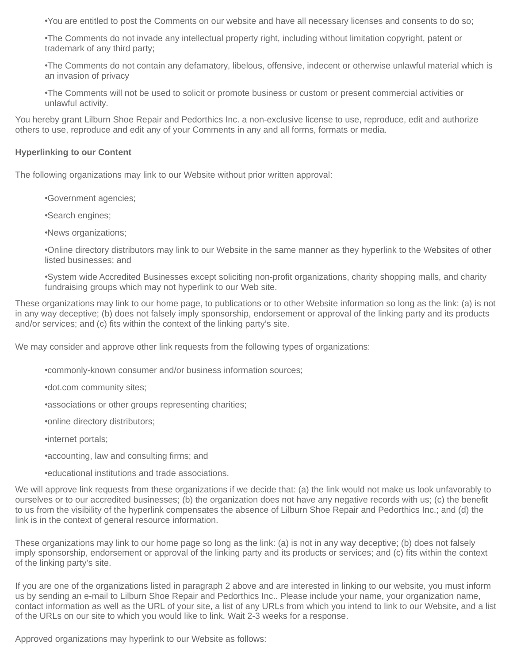•You are entitled to post the Comments on our website and have all necessary licenses and consents to do so;

•The Comments do not invade any intellectual property right, including without limitation copyright, patent or trademark of any third party;

•The Comments do not contain any defamatory, libelous, offensive, indecent or otherwise unlawful material which is an invasion of privacy

•The Comments will not be used to solicit or promote business or custom or present commercial activities or unlawful activity.

You hereby grant Lilburn Shoe Repair and Pedorthics Inc. a non-exclusive license to use, reproduce, edit and authorize others to use, reproduce and edit any of your Comments in any and all forms, formats or media.

## **Hyperlinking to our Content**

The following organizations may link to our Website without prior written approval:

•Government agencies;

•Search engines;

•News organizations;

•Online directory distributors may link to our Website in the same manner as they hyperlink to the Websites of other listed businesses; and

•System wide Accredited Businesses except soliciting non-profit organizations, charity shopping malls, and charity fundraising groups which may not hyperlink to our Web site.

These organizations may link to our home page, to publications or to other Website information so long as the link: (a) is not in any way deceptive; (b) does not falsely imply sponsorship, endorsement or approval of the linking party and its products and/or services; and (c) fits within the context of the linking party's site.

We may consider and approve other link requests from the following types of organizations:

•commonly-known consumer and/or business information sources;

•dot.com community sites;

•associations or other groups representing charities;

•online directory distributors;

•internet portals;

•accounting, law and consulting firms; and

•educational institutions and trade associations.

We will approve link requests from these organizations if we decide that: (a) the link would not make us look unfavorably to ourselves or to our accredited businesses; (b) the organization does not have any negative records with us; (c) the benefit to us from the visibility of the hyperlink compensates the absence of Lilburn Shoe Repair and Pedorthics Inc.; and (d) the link is in the context of general resource information.

These organizations may link to our home page so long as the link: (a) is not in any way deceptive; (b) does not falsely imply sponsorship, endorsement or approval of the linking party and its products or services; and (c) fits within the context of the linking party's site.

If you are one of the organizations listed in paragraph 2 above and are interested in linking to our website, you must inform us by sending an e-mail to Lilburn Shoe Repair and Pedorthics Inc.. Please include your name, your organization name, contact information as well as the URL of your site, a list of any URLs from which you intend to link to our Website, and a list of the URLs on our site to which you would like to link. Wait 2-3 weeks for a response.

Approved organizations may hyperlink to our Website as follows: